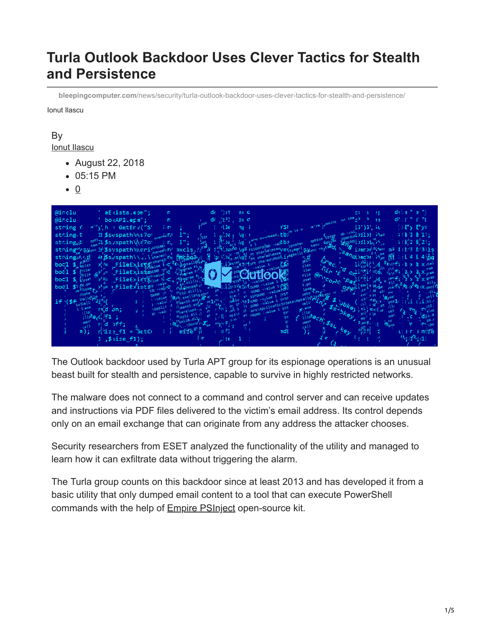## **Turla Outlook Backdoor Uses Clever Tactics for Stealth and Persistence**

**bleepingcomputer.com**[/news/security/turla-outlook-backdoor-uses-clever-tactics-for-stealth-and-persistence/](https://www.bleepingcomputer.com/news/security/turla-outlook-backdoor-uses-clever-tactics-for-stealth-and-persistence/)

Ionut Ilascu

## By [Ionut Ilascu](https://www.bleepingcomputer.com/author/ionut-ilascu/)

- August 22, 2018
- 05:15 PM
- 0



The Outlook backdoor used by Turla APT group for its espionage operations is an unusual beast built for stealth and persistence, capable to survive in highly restricted networks.

The malware does not connect to a command and control server and can receive updates and instructions via PDF files delivered to the victim's email address. Its control depends only on an email exchange that can originate from any address the attacker chooses.

Security researchers from ESET analyzed the functionality of the utility and managed to learn how it can exfiltrate data without triggering the alarm.

The Turla group counts on this backdoor since at least 2013 and has developed it from a basic utility that only dumped email content to a tool that can execute PowerShell commands with the help of [Empire PSInject](https://github.com/EmpireProject/PSInject) open-source kit.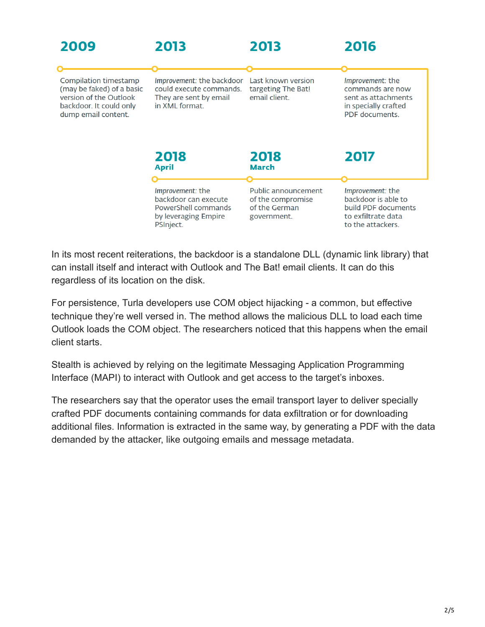| 2009                                                                                                                           | 2013                                                                                                        | 2013                                                                     | 2016                                                                                                      |
|--------------------------------------------------------------------------------------------------------------------------------|-------------------------------------------------------------------------------------------------------------|--------------------------------------------------------------------------|-----------------------------------------------------------------------------------------------------------|
| Compilation timestamp<br>(may be faked) of a basic<br>version of the Outlook<br>backdoor. It could only<br>dump email content. | Improvement: the backdoor<br>could execute commands.<br>They are sent by email<br>in XML format.            | Last known version<br>targeting The Bat!<br>email client.                | Improvement: the<br>commands are now<br>sent as attachments<br>in specially crafted<br>PDF documents.     |
|                                                                                                                                | 2018<br>April                                                                                               | 2018<br><b>March</b>                                                     | 2017                                                                                                      |
|                                                                                                                                | <i>Improvement: the</i><br>backdoor can execute<br>PowerShell commands<br>by leveraging Empire<br>PSInject. | Public announcement<br>of the compromise<br>of the German<br>government. | Improvement: the<br>backdoor is able to<br>build PDF documents<br>to exfiltrate data<br>to the attackers. |

In its most recent reiterations, the backdoor is a standalone DLL (dynamic link library) that can install itself and interact with Outlook and The Bat! email clients. It can do this regardless of its location on the disk.

For persistence, Turla developers use COM object hijacking - a common, but effective technique they're well versed in. The method allows the malicious DLL to load each time Outlook loads the COM object. The researchers noticed that this happens when the email client starts.

Stealth is achieved by relying on the legitimate Messaging Application Programming Interface (MAPI) to interact with Outlook and get access to the target's inboxes.

The researchers say that the operator uses the email transport layer to deliver specially crafted PDF documents containing commands for data exfiltration or for downloading additional files. Information is extracted in the same way, by generating a PDF with the data demanded by the attacker, like outgoing emails and message metadata.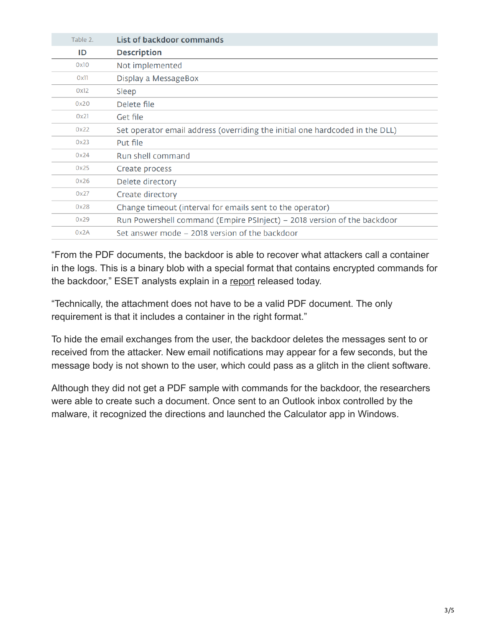| Table 2. | List of backdoor commands                                                    |
|----------|------------------------------------------------------------------------------|
| ID       | <b>Description</b>                                                           |
| 0x10     | Not implemented                                                              |
| 0x11     | Display a MessageBox                                                         |
| 0x12     | Sleep                                                                        |
| 0x20     | Delete file                                                                  |
| 0x21     | Get file                                                                     |
| 0x22     | Set operator email address (overriding the initial one hardcoded in the DLL) |
| 0x23     | Put file                                                                     |
| 0x24     | Run shell command                                                            |
| 0x25     | Create process                                                               |
| 0x26     | Delete directory                                                             |
| 0x27     | Create directory                                                             |
| 0x28     | Change timeout (interval for emails sent to the operator)                    |
| 0x29     | Run Powershell command (Empire PSInject) – 2018 version of the backdoor      |
| 0x2A     | Set answer mode – 2018 version of the backdoor                               |

"From the PDF documents, the backdoor is able to recover what attackers call a container in the logs. This is a binary blob with a special format that contains encrypted commands for the backdoor," ESET analysts explain in a [report](https://www.welivesecurity.com/wp-content/uploads/2018/08/Eset-Turla-Outlook-Backdoor.pdf) released today.

"Technically, the attachment does not have to be a valid PDF document. The only requirement is that it includes a container in the right format."

To hide the email exchanges from the user, the backdoor deletes the messages sent to or received from the attacker. New email notifications may appear for a few seconds, but the message body is not shown to the user, which could pass as a glitch in the client software.

Although they did not get a PDF sample with commands for the backdoor, the researchers were able to create such a document. Once sent to an Outlook inbox controlled by the malware, it recognized the directions and launched the Calculator app in Windows.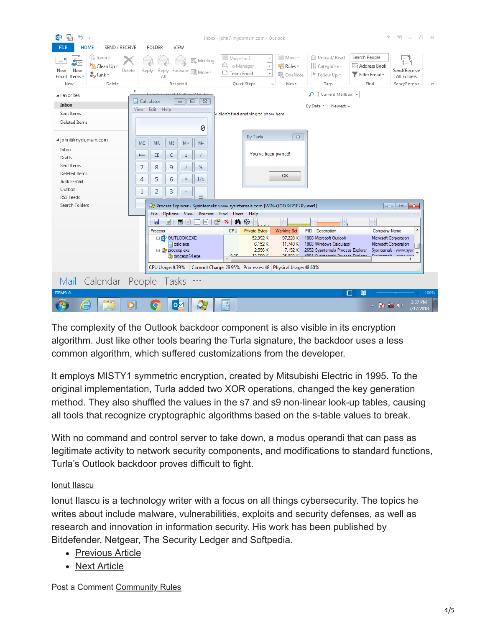

The complexity of the Outlook backdoor component is also visible in its encryption algorithm. Just like other tools bearing the Turla signature, the backdoor uses a less common algorithm, which suffered customizations from the developer.

It employs MISTY1 symmetric encryption, created by Mitsubishi Electric in 1995. To the original implementation, Turla added two XOR operations, changed the key generation method. They also shuffled the values in the s7 and s9 non-linear look-up tables, causing all tools that recognize cryptographic algorithms based on the s-table values to break.

With no command and control server to take down, a modus operandi that can pass as legitimate activity to network security components, and modifications to standard functions, Turla's Outlook backdoor proves difficult to fight.

## [Ionut Ilascu](https://www.bleepingcomputer.com/author/ionut-ilascu/)

Ionut Ilascu is a technology writer with a focus on all things cybersecurity. The topics he writes about include malware, vulnerabilities, exploits and security defenses, as well as research and innovation in information security. His work has been published by Bitdefender, Netgear, The Security Ledger and Softpedia.

- [Previous Article](https://www.bleepingcomputer.com/news/microsoft/microsoft-plans-to-make-monthly-windows-10-updates-smaller-in-size/)
- [Next Article](https://www.bleepingcomputer.com/news/microsoft/some-surface-pro-4-users-having-issues-after-july-firmware-update/)

Post a Comment [Community Rules](https://www.bleepingcomputer.com/posting-guidelines/)